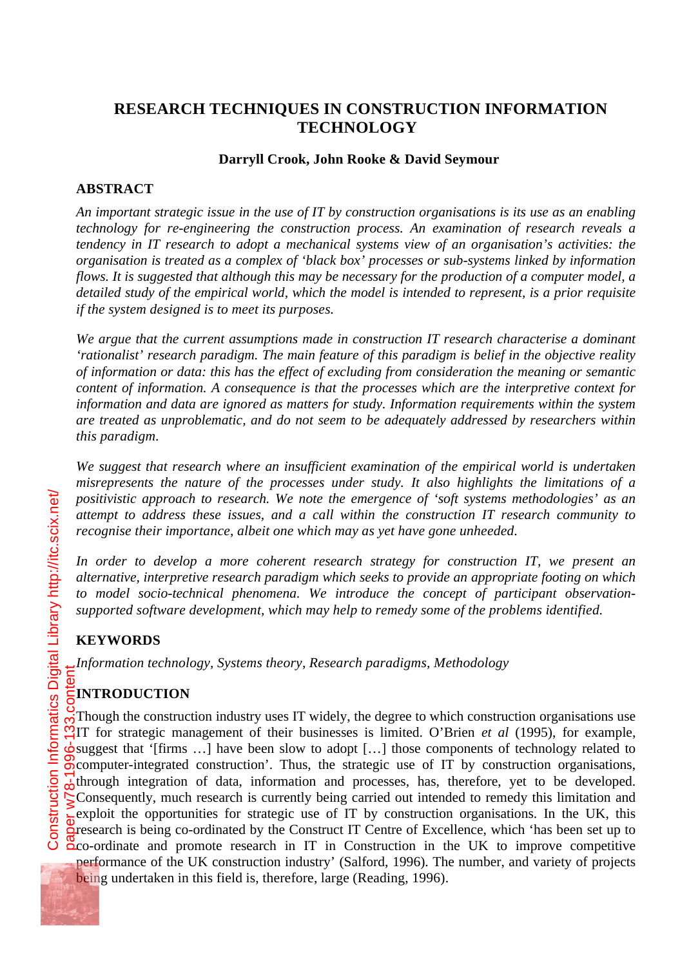# **RESEARCH TECHNIQUES IN CONSTRUCTION INFORMATION TECHNOLOGY**

#### **Darryll Crook, John Rooke & David Seymour**

#### **ABSTRACT**

*An important strategic issue in the use of IT by construction organisations is its use as an enabling technology for re-engineering the construction process. An examination of research reveals a tendency in IT research to adopt a mechanical systems view of an organisation's activities: the organisation is treated as a complex of 'black box' processes or sub-systems linked by information flows. It is suggested that although this may be necessary for the production of a computer model, a detailed study of the empirical world, which the model is intended to represent, is a prior requisite if the system designed is to meet its purposes.*

*We argue that the current assumptions made in construction IT research characterise a dominant 'rationalist' research paradigm. The main feature of this paradigm is belief in the objective reality of information or data: this has the effect of excluding from consideration the meaning or semantic content of information. A consequence is that the processes which are the interpretive context for information and data are ignored as matters for study. Information requirements within the system are treated as unproblematic, and do not seem to be adequately addressed by researchers within this paradigm.*

*We suggest that research where an insufficient examination of the empirical world is undertaken misrepresents the nature of the processes under study. It also highlights the limitations of a positivistic approach to research. We note the emergence of 'soft systems methodologies' as an attempt to address these issues, and a call within the construction IT research community to recognise their importance, albeit one which may as yet have gone unheeded.*

*In order to develop a more coherent research strategy for construction IT, we present an alternative, interpretive research paradigm which seeks to provide an appropriate footing on which to model socio-technical phenomena. We introduce the concept of participant observationsupported software development, which may help to remedy some of the problems identified.*

## **KEYWORDS**

*Information technology, Systems theory, Research paradigms, Methodology*

## **INTRODUCTION**

Though the construction industry uses IT widely, the degree to which construction organisations use IT for strategic management of their businesses is limited. O'Brien *et al* (1995), for example, suggest that '[firms …] have been slow to adopt […] those components of technology related to  $\sigma$  computer-integrated construction'. Thus, the strategic use of IT by construction organisations, through integration of data, information and processes, has, therefore, yet to be developed. Consequently, much research is currently being carried out intended to remedy this limitation and exploit the opportunities for strategic use of IT by construction organisations. In the UK, this **Presearch** is being co-ordinated by the Construct IT Centre of Excellence, which 'has been set up to  $\alpha$ co-ordinate and promote research in IT in Construction in the UK to improve competitive performance of the UK construction industry' (Salford, 1996). The number, and variety of projects being undertaken in this field is, therefore, large (Reading, 1996). paper w78-1996-133.content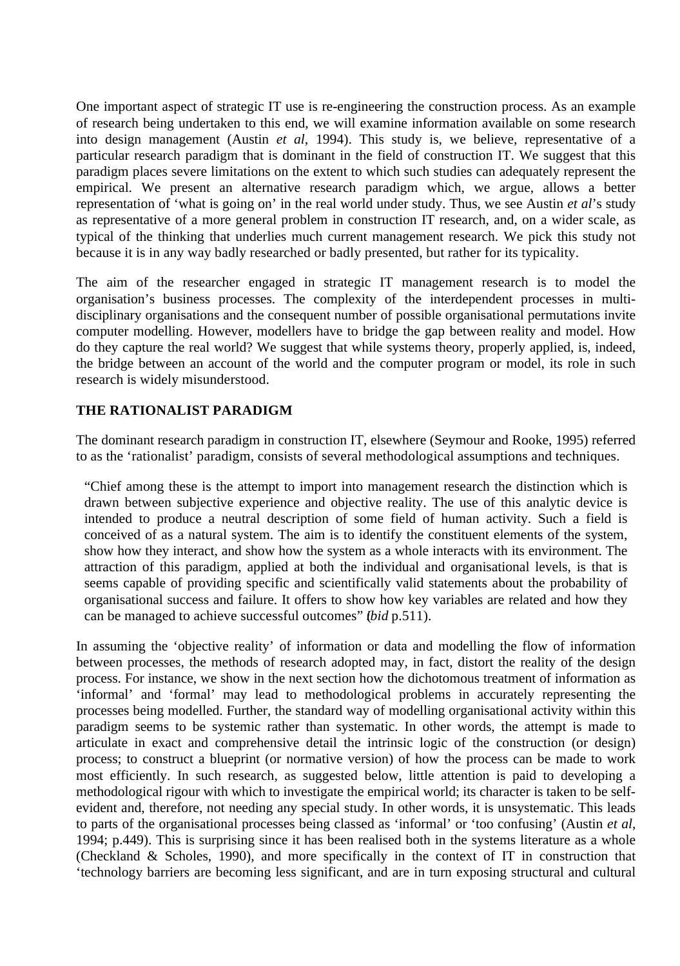One important aspect of strategic IT use is re-engineering the construction process. As an example of research being undertaken to this end, we will examine information available on some research into design management (Austin *et al*, 1994). This study is, we believe, representative of a particular research paradigm that is dominant in the field of construction IT. We suggest that this paradigm places severe limitations on the extent to which such studies can adequately represent the empirical. We present an alternative research paradigm which, we argue, allows a better representation of 'what is going on' in the real world under study. Thus, we see Austin *et al*'s study as representative of a more general problem in construction IT research, and, on a wider scale, as typical of the thinking that underlies much current management research. We pick this study not because it is in any way badly researched or badly presented, but rather for its typicality.

The aim of the researcher engaged in strategic IT management research is to model the organisation's business processes. The complexity of the interdependent processes in multidisciplinary organisations and the consequent number of possible organisational permutations invite computer modelling. However, modellers have to bridge the gap between reality and model. How do they capture the real world? We suggest that while systems theory, properly applied, is, indeed, the bridge between an account of the world and the computer program or model, its role in such research is widely misunderstood.

#### **THE RATIONALIST PARADIGM**

The dominant research paradigm in construction IT, elsewhere (Seymour and Rooke, 1995) referred to as the 'rationalist' paradigm, consists of several methodological assumptions and techniques.

"Chief among these is the attempt to import into management research the distinction which is drawn between subjective experience and objective reality. The use of this analytic device is intended to produce a neutral description of some field of human activity. Such a field is conceived of as a natural system. The aim is to identify the constituent elements of the system, show how they interact, and show how the system as a whole interacts with its environment. The attraction of this paradigm, applied at both the individual and organisational levels, is that is seems capable of providing specific and scientifically valid statements about the probability of organisational success and failure. It offers to show how key variables are related and how they can be managed to achieve successful outcomes" (*ibid* p.511).

In assuming the 'objective reality' of information or data and modelling the flow of information between processes, the methods of research adopted may, in fact, distort the reality of the design process. For instance, we show in the next section how the dichotomous treatment of information as 'informal' and 'formal' may lead to methodological problems in accurately representing the processes being modelled. Further, the standard way of modelling organisational activity within this paradigm seems to be systemic rather than systematic. In other words, the attempt is made to articulate in exact and comprehensive detail the intrinsic logic of the construction (or design) process; to construct a blueprint (or normative version) of how the process can be made to work most efficiently. In such research, as suggested below, little attention is paid to developing a methodological rigour with which to investigate the empirical world; its character is taken to be selfevident and, therefore, not needing any special study. In other words, it is unsystematic. This leads to parts of the organisational processes being classed as 'informal' or 'too confusing' (Austin *et al*, 1994; p.449). This is surprising since it has been realised both in the systems literature as a whole (Checkland & Scholes, 1990), and more specifically in the context of IT in construction that 'technology barriers are becoming less significant, and are in turn exposing structural and cultural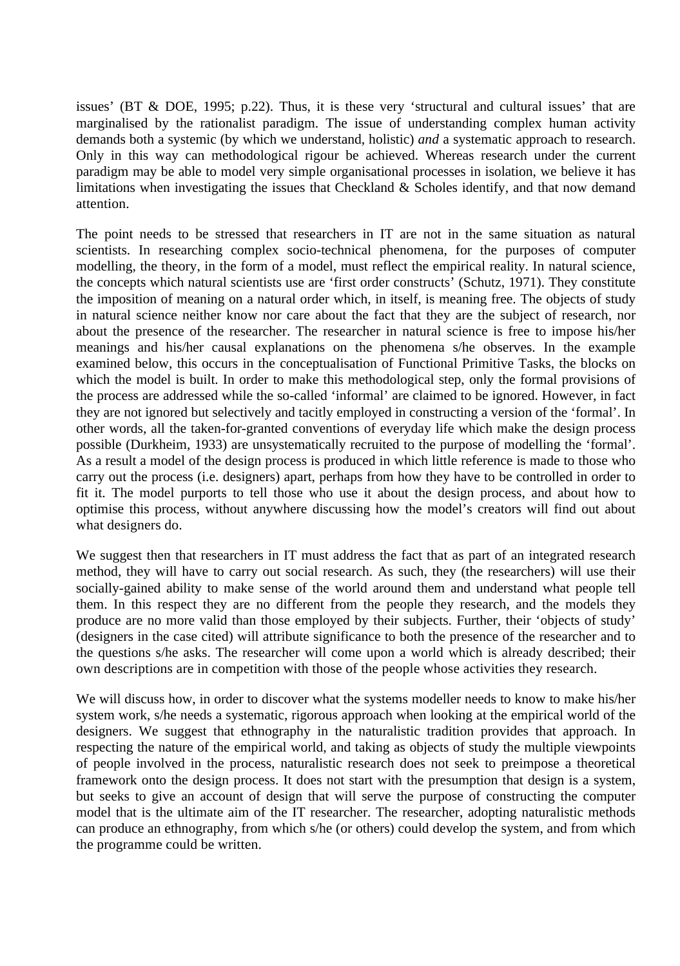issues' (BT & DOE, 1995; p.22). Thus, it is these very 'structural and cultural issues' that are marginalised by the rationalist paradigm. The issue of understanding complex human activity demands both a systemic (by which we understand, holistic) *and* a systematic approach to research. Only in this way can methodological rigour be achieved. Whereas research under the current paradigm may be able to model very simple organisational processes in isolation, we believe it has limitations when investigating the issues that Checkland  $\&$  Scholes identify, and that now demand attention.

The point needs to be stressed that researchers in IT are not in the same situation as natural scientists. In researching complex socio-technical phenomena, for the purposes of computer modelling, the theory, in the form of a model, must reflect the empirical reality. In natural science, the concepts which natural scientists use are 'first order constructs' (Schutz, 1971). They constitute the imposition of meaning on a natural order which, in itself, is meaning free. The objects of study in natural science neither know nor care about the fact that they are the subject of research, nor about the presence of the researcher. The researcher in natural science is free to impose his/her meanings and his/her causal explanations on the phenomena s/he observes. In the example examined below, this occurs in the conceptualisation of Functional Primitive Tasks, the blocks on which the model is built. In order to make this methodological step, only the formal provisions of the process are addressed while the so-called 'informal' are claimed to be ignored. However, in fact they are not ignored but selectively and tacitly employed in constructing a version of the 'formal'. In other words, all the taken-for-granted conventions of everyday life which make the design process possible (Durkheim, 1933) are unsystematically recruited to the purpose of modelling the 'formal'. As a result a model of the design process is produced in which little reference is made to those who carry out the process (i.e. designers) apart, perhaps from how they have to be controlled in order to fit it. The model purports to tell those who use it about the design process, and about how to optimise this process, without anywhere discussing how the model's creators will find out about what designers do.

We suggest then that researchers in IT must address the fact that as part of an integrated research method, they will have to carry out social research. As such, they (the researchers) will use their socially-gained ability to make sense of the world around them and understand what people tell them. In this respect they are no different from the people they research, and the models they produce are no more valid than those employed by their subjects. Further, their 'objects of study' (designers in the case cited) will attribute significance to both the presence of the researcher and to the questions s/he asks. The researcher will come upon a world which is already described; their own descriptions are in competition with those of the people whose activities they research.

We will discuss how, in order to discover what the systems modeller needs to know to make his/her system work, s/he needs a systematic, rigorous approach when looking at the empirical world of the designers. We suggest that ethnography in the naturalistic tradition provides that approach. In respecting the nature of the empirical world, and taking as objects of study the multiple viewpoints of people involved in the process, naturalistic research does not seek to preimpose a theoretical framework onto the design process. It does not start with the presumption that design is a system, but seeks to give an account of design that will serve the purpose of constructing the computer model that is the ultimate aim of the IT researcher. The researcher, adopting naturalistic methods can produce an ethnography, from which s/he (or others) could develop the system, and from which the programme could be written.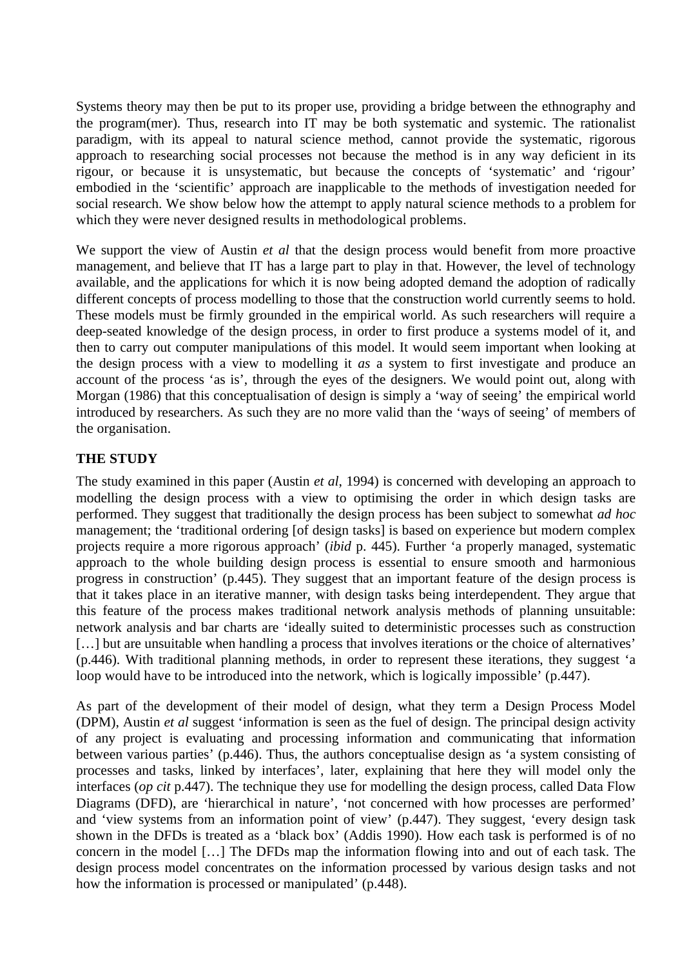Systems theory may then be put to its proper use, providing a bridge between the ethnography and the program(mer). Thus, research into IT may be both systematic and systemic. The rationalist paradigm, with its appeal to natural science method, cannot provide the systematic, rigorous approach to researching social processes not because the method is in any way deficient in its rigour, or because it is unsystematic, but because the concepts of 'systematic' and 'rigour' embodied in the 'scientific' approach are inapplicable to the methods of investigation needed for social research. We show below how the attempt to apply natural science methods to a problem for which they were never designed results in methodological problems.

We support the view of Austin *et al* that the design process would benefit from more proactive management, and believe that IT has a large part to play in that. However, the level of technology available, and the applications for which it is now being adopted demand the adoption of radically different concepts of process modelling to those that the construction world currently seems to hold. These models must be firmly grounded in the empirical world. As such researchers will require a deep-seated knowledge of the design process, in order to first produce a systems model of it, and then to carry out computer manipulations of this model. It would seem important when looking at the design process with a view to modelling it *as* a system to first investigate and produce an account of the process 'as is', through the eyes of the designers. We would point out, along with Morgan (1986) that this conceptualisation of design is simply a 'way of seeing' the empirical world introduced by researchers. As such they are no more valid than the 'ways of seeing' of members of the organisation.

## **THE STUDY**

The study examined in this paper (Austin *et al*, 1994) is concerned with developing an approach to modelling the design process with a view to optimising the order in which design tasks are performed. They suggest that traditionally the design process has been subject to somewhat *ad hoc* management; the 'traditional ordering [of design tasks] is based on experience but modern complex projects require a more rigorous approach' (*ibid* p. 445). Further 'a properly managed, systematic approach to the whole building design process is essential to ensure smooth and harmonious progress in construction' (p.445). They suggest that an important feature of the design process is that it takes place in an iterative manner, with design tasks being interdependent. They argue that this feature of the process makes traditional network analysis methods of planning unsuitable: network analysis and bar charts are 'ideally suited to deterministic processes such as construction [...] but are unsuitable when handling a process that involves iterations or the choice of alternatives' (p.446). With traditional planning methods, in order to represent these iterations, they suggest 'a loop would have to be introduced into the network, which is logically impossible' (p.447).

As part of the development of their model of design, what they term a Design Process Model (DPM), Austin *et al* suggest 'information is seen as the fuel of design. The principal design activity of any project is evaluating and processing information and communicating that information between various parties' (p.446). Thus, the authors conceptualise design as 'a system consisting of processes and tasks, linked by interfaces', later, explaining that here they will model only the interfaces (*op cit* p.447). The technique they use for modelling the design process, called Data Flow Diagrams (DFD), are 'hierarchical in nature', 'not concerned with how processes are performed' and 'view systems from an information point of view' (p.447). They suggest, 'every design task shown in the DFDs is treated as a 'black box' (Addis 1990). How each task is performed is of no concern in the model […] The DFDs map the information flowing into and out of each task. The design process model concentrates on the information processed by various design tasks and not how the information is processed or manipulated' (p.448).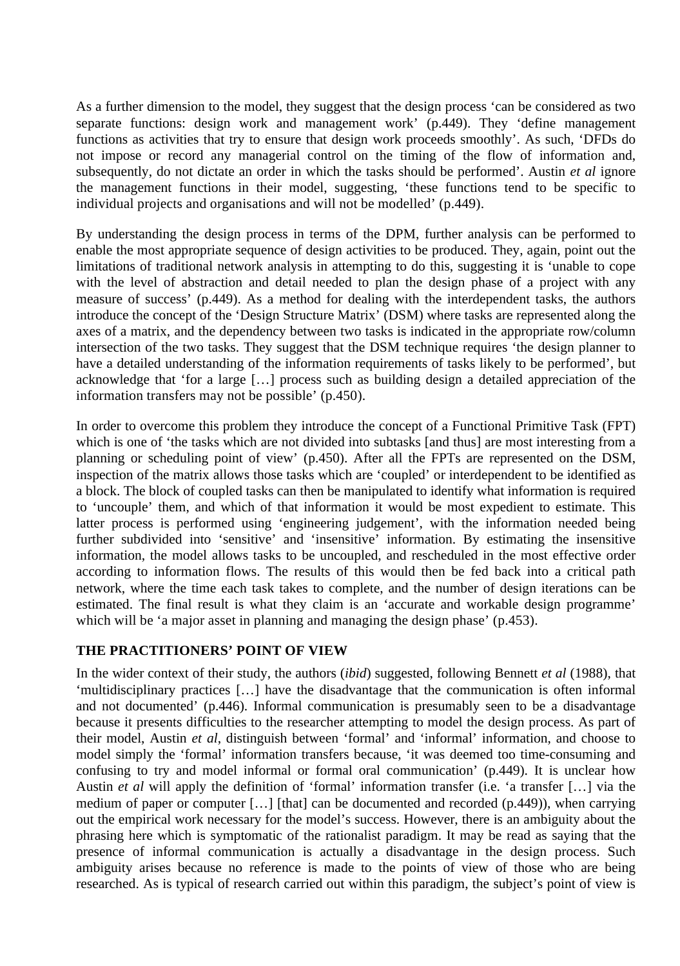As a further dimension to the model, they suggest that the design process 'can be considered as two separate functions: design work and management work' (p.449). They 'define management functions as activities that try to ensure that design work proceeds smoothly'. As such, 'DFDs do not impose or record any managerial control on the timing of the flow of information and, subsequently, do not dictate an order in which the tasks should be performed'. Austin *et al* ignore the management functions in their model, suggesting, 'these functions tend to be specific to individual projects and organisations and will not be modelled' (p.449).

By understanding the design process in terms of the DPM, further analysis can be performed to enable the most appropriate sequence of design activities to be produced. They, again, point out the limitations of traditional network analysis in attempting to do this, suggesting it is 'unable to cope with the level of abstraction and detail needed to plan the design phase of a project with any measure of success' (p.449). As a method for dealing with the interdependent tasks, the authors introduce the concept of the 'Design Structure Matrix' (DSM) where tasks are represented along the axes of a matrix, and the dependency between two tasks is indicated in the appropriate row/column intersection of the two tasks. They suggest that the DSM technique requires 'the design planner to have a detailed understanding of the information requirements of tasks likely to be performed', but acknowledge that 'for a large […] process such as building design a detailed appreciation of the information transfers may not be possible' (p.450).

In order to overcome this problem they introduce the concept of a Functional Primitive Task (FPT) which is one of 'the tasks which are not divided into subtasks [and thus] are most interesting from a planning or scheduling point of view' (p.450). After all the FPTs are represented on the DSM, inspection of the matrix allows those tasks which are 'coupled' or interdependent to be identified as a block. The block of coupled tasks can then be manipulated to identify what information is required to 'uncouple' them, and which of that information it would be most expedient to estimate. This latter process is performed using 'engineering judgement', with the information needed being further subdivided into 'sensitive' and 'insensitive' information. By estimating the insensitive information, the model allows tasks to be uncoupled, and rescheduled in the most effective order according to information flows. The results of this would then be fed back into a critical path network, where the time each task takes to complete, and the number of design iterations can be estimated. The final result is what they claim is an 'accurate and workable design programme' which will be 'a major asset in planning and managing the design phase' (p.453).

## **THE PRACTITIONERS' POINT OF VIEW**

In the wider context of their study, the authors (*ibid*) suggested, following Bennett *et al* (1988), that 'multidisciplinary practices […] have the disadvantage that the communication is often informal and not documented' (p.446). Informal communication is presumably seen to be a disadvantage because it presents difficulties to the researcher attempting to model the design process. As part of their model, Austin *et al*, distinguish between 'formal' and 'informal' information, and choose to model simply the 'formal' information transfers because, 'it was deemed too time-consuming and confusing to try and model informal or formal oral communication' (p.449). It is unclear how Austin *et al* will apply the definition of 'formal' information transfer (i.e. 'a transfer […] via the medium of paper or computer  $[\dots]$  [that] can be documented and recorded (p.449)), when carrying out the empirical work necessary for the model's success. However, there is an ambiguity about the phrasing here which is symptomatic of the rationalist paradigm. It may be read as saying that the presence of informal communication is actually a disadvantage in the design process. Such ambiguity arises because no reference is made to the points of view of those who are being researched. As is typical of research carried out within this paradigm, the subject's point of view is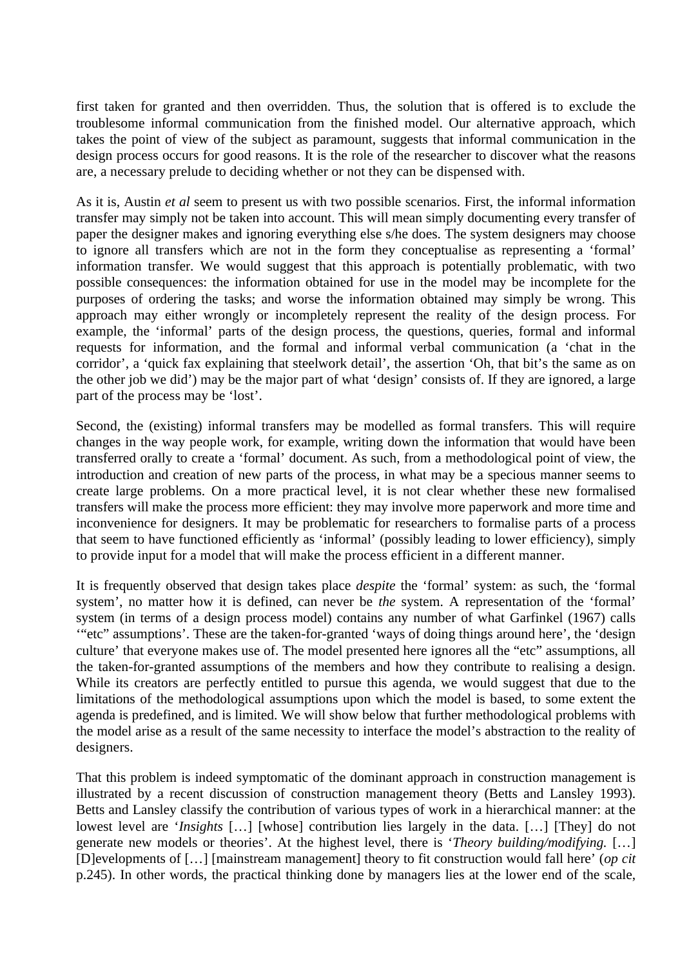first taken for granted and then overridden. Thus, the solution that is offered is to exclude the troublesome informal communication from the finished model. Our alternative approach, which takes the point of view of the subject as paramount, suggests that informal communication in the design process occurs for good reasons. It is the role of the researcher to discover what the reasons are, a necessary prelude to deciding whether or not they can be dispensed with.

As it is, Austin *et al* seem to present us with two possible scenarios. First, the informal information transfer may simply not be taken into account. This will mean simply documenting every transfer of paper the designer makes and ignoring everything else s/he does. The system designers may choose to ignore all transfers which are not in the form they conceptualise as representing a 'formal' information transfer. We would suggest that this approach is potentially problematic, with two possible consequences: the information obtained for use in the model may be incomplete for the purposes of ordering the tasks; and worse the information obtained may simply be wrong. This approach may either wrongly or incompletely represent the reality of the design process. For example, the 'informal' parts of the design process, the questions, queries, formal and informal requests for information, and the formal and informal verbal communication (a 'chat in the corridor', a 'quick fax explaining that steelwork detail', the assertion 'Oh, that bit's the same as on the other job we did') may be the major part of what 'design' consists of. If they are ignored, a large part of the process may be 'lost'.

Second, the (existing) informal transfers may be modelled as formal transfers. This will require changes in the way people work, for example, writing down the information that would have been transferred orally to create a 'formal' document. As such, from a methodological point of view, the introduction and creation of new parts of the process, in what may be a specious manner seems to create large problems. On a more practical level, it is not clear whether these new formalised transfers will make the process more efficient: they may involve more paperwork and more time and inconvenience for designers. It may be problematic for researchers to formalise parts of a process that seem to have functioned efficiently as 'informal' (possibly leading to lower efficiency), simply to provide input for a model that will make the process efficient in a different manner.

It is frequently observed that design takes place *despite* the 'formal' system: as such, the 'formal system', no matter how it is defined, can never be *the* system. A representation of the 'formal' system (in terms of a design process model) contains any number of what Garfinkel (1967) calls '"etc" assumptions'. These are the taken-for-granted 'ways of doing things around here', the 'design culture' that everyone makes use of. The model presented here ignores all the "etc" assumptions, all the taken-for-granted assumptions of the members and how they contribute to realising a design. While its creators are perfectly entitled to pursue this agenda, we would suggest that due to the limitations of the methodological assumptions upon which the model is based, to some extent the agenda is predefined, and is limited. We will show below that further methodological problems with the model arise as a result of the same necessity to interface the model's abstraction to the reality of designers.

That this problem is indeed symptomatic of the dominant approach in construction management is illustrated by a recent discussion of construction management theory (Betts and Lansley 1993). Betts and Lansley classify the contribution of various types of work in a hierarchical manner: at the lowest level are '*Insights* […] [whose] contribution lies largely in the data. […] [They] do not generate new models or theories'. At the highest level, there is '*Theory building/modifying.* […] [D]evelopments of […] [mainstream management] theory to fit construction would fall here' (*op cit* p.245). In other words, the practical thinking done by managers lies at the lower end of the scale,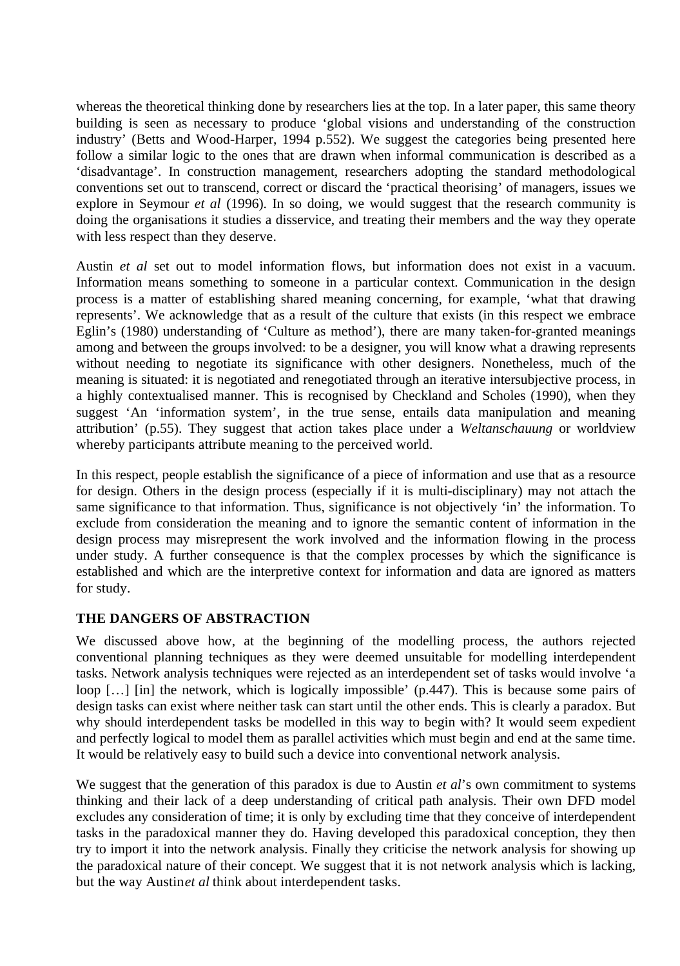whereas the theoretical thinking done by researchers lies at the top. In a later paper, this same theory building is seen as necessary to produce 'global visions and understanding of the construction industry' (Betts and Wood-Harper, 1994 p.552). We suggest the categories being presented here follow a similar logic to the ones that are drawn when informal communication is described as a 'disadvantage'. In construction management, researchers adopting the standard methodological conventions set out to transcend, correct or discard the 'practical theorising' of managers, issues we explore in Seymour *et al* (1996). In so doing, we would suggest that the research community is doing the organisations it studies a disservice, and treating their members and the way they operate with less respect than they deserve.

Austin *et al* set out to model information flows, but information does not exist in a vacuum. Information means something to someone in a particular context. Communication in the design process is a matter of establishing shared meaning concerning, for example, 'what that drawing represents'. We acknowledge that as a result of the culture that exists (in this respect we embrace Eglin's (1980) understanding of 'Culture as method'), there are many taken-for-granted meanings among and between the groups involved: to be a designer, you will know what a drawing represents without needing to negotiate its significance with other designers. Nonetheless, much of the meaning is situated: it is negotiated and renegotiated through an iterative intersubjective process, in a highly contextualised manner. This is recognised by Checkland and Scholes (1990), when they suggest 'An 'information system', in the true sense, entails data manipulation and meaning attribution' (p.55). They suggest that action takes place under a *Weltanschauung* or worldview whereby participants attribute meaning to the perceived world.

In this respect, people establish the significance of a piece of information and use that as a resource for design. Others in the design process (especially if it is multi-disciplinary) may not attach the same significance to that information. Thus, significance is not objectively 'in' the information. To exclude from consideration the meaning and to ignore the semantic content of information in the design process may misrepresent the work involved and the information flowing in the process under study. A further consequence is that the complex processes by which the significance is established and which are the interpretive context for information and data are ignored as matters for study.

## **THE DANGERS OF ABSTRACTION**

We discussed above how, at the beginning of the modelling process, the authors rejected conventional planning techniques as they were deemed unsuitable for modelling interdependent tasks. Network analysis techniques were rejected as an interdependent set of tasks would involve 'a loop [...] [in] the network, which is logically impossible' (p.447). This is because some pairs of design tasks can exist where neither task can start until the other ends. This is clearly a paradox. But why should interdependent tasks be modelled in this way to begin with? It would seem expedient and perfectly logical to model them as parallel activities which must begin and end at the same time. It would be relatively easy to build such a device into conventional network analysis.

We suggest that the generation of this paradox is due to Austin *et al*'s own commitment to systems thinking and their lack of a deep understanding of critical path analysis. Their own DFD model excludes any consideration of time; it is only by excluding time that they conceive of interdependent tasks in the paradoxical manner they do. Having developed this paradoxical conception, they then try to import it into the network analysis. Finally they criticise the network analysis for showing up the paradoxical nature of their concept. We suggest that it is not network analysis which is lacking, but the way Austinet al think about interdependent tasks.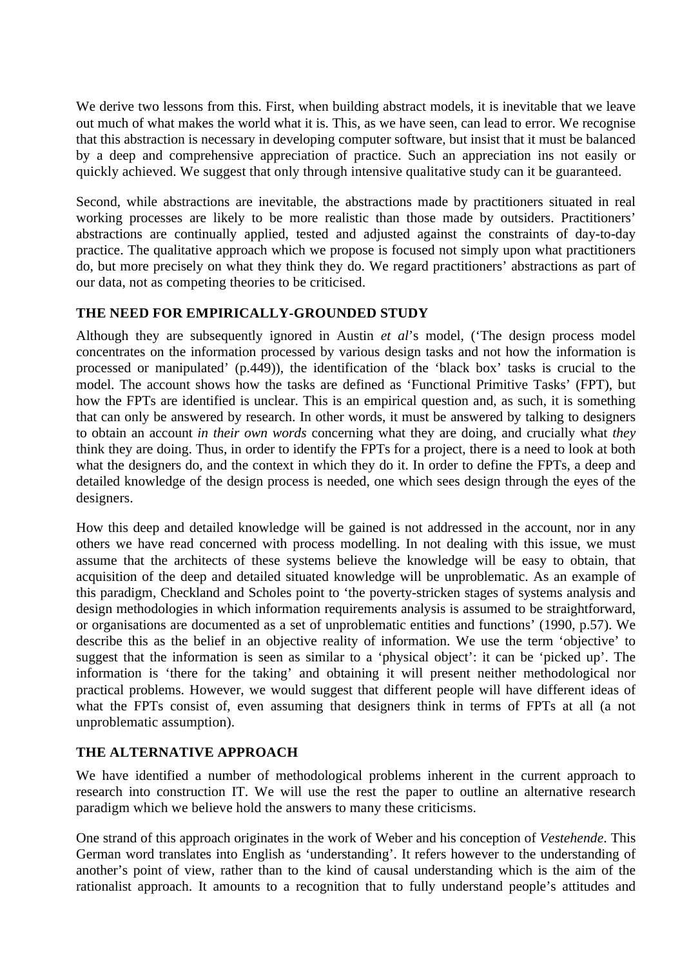We derive two lessons from this. First, when building abstract models, it is inevitable that we leave out much of what makes the world what it is. This, as we have seen, can lead to error. We recognise that this abstraction is necessary in developing computer software, but insist that it must be balanced by a deep and comprehensive appreciation of practice. Such an appreciation ins not easily or quickly achieved. We suggest that only through intensive qualitative study can it be guaranteed.

Second, while abstractions are inevitable, the abstractions made by practitioners situated in real working processes are likely to be more realistic than those made by outsiders. Practitioners' abstractions are continually applied, tested and adjusted against the constraints of day-to-day practice. The qualitative approach which we propose is focused not simply upon what practitioners do, but more precisely on what they think they do. We regard practitioners' abstractions as part of our data, not as competing theories to be criticised.

## **THE NEED FOR EMPIRICALLY-GROUNDED STUDY**

Although they are subsequently ignored in Austin *et al*'s model, ('The design process model concentrates on the information processed by various design tasks and not how the information is processed or manipulated' (p.449)), the identification of the 'black box' tasks is crucial to the model. The account shows how the tasks are defined as 'Functional Primitive Tasks' (FPT), but how the FPTs are identified is unclear. This is an empirical question and, as such, it is something that can only be answered by research. In other words, it must be answered by talking to designers to obtain an account *in their own words* concerning what they are doing, and crucially what *they* think they are doing. Thus, in order to identify the FPTs for a project, there is a need to look at both what the designers do, and the context in which they do it. In order to define the FPTs, a deep and detailed knowledge of the design process is needed, one which sees design through the eyes of the designers.

How this deep and detailed knowledge will be gained is not addressed in the account, nor in any others we have read concerned with process modelling. In not dealing with this issue, we must assume that the architects of these systems believe the knowledge will be easy to obtain, that acquisition of the deep and detailed situated knowledge will be unproblematic. As an example of this paradigm, Checkland and Scholes point to 'the poverty-stricken stages of systems analysis and design methodologies in which information requirements analysis is assumed to be straightforward, or organisations are documented as a set of unproblematic entities and functions' (1990, p.57). We describe this as the belief in an objective reality of information. We use the term 'objective' to suggest that the information is seen as similar to a 'physical object': it can be 'picked up'. The information is 'there for the taking' and obtaining it will present neither methodological nor practical problems. However, we would suggest that different people will have different ideas of what the FPTs consist of, even assuming that designers think in terms of FPTs at all (a not unproblematic assumption).

## **THE ALTERNATIVE APPROACH**

We have identified a number of methodological problems inherent in the current approach to research into construction IT. We will use the rest the paper to outline an alternative research paradigm which we believe hold the answers to many these criticisms.

One strand of this approach originates in the work of Weber and his conception of *Vestehende*. This German word translates into English as 'understanding'. It refers however to the understanding of another's point of view, rather than to the kind of causal understanding which is the aim of the rationalist approach. It amounts to a recognition that to fully understand people's attitudes and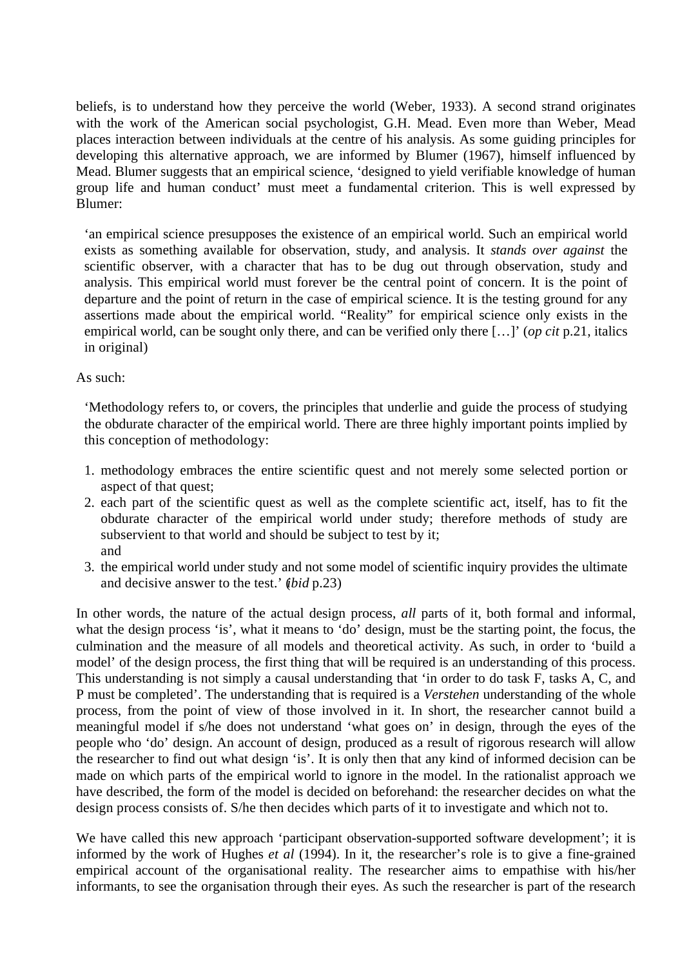beliefs, is to understand how they perceive the world (Weber, 1933). A second strand originates with the work of the American social psychologist, G.H. Mead. Even more than Weber, Mead places interaction between individuals at the centre of his analysis. As some guiding principles for developing this alternative approach, we are informed by Blumer (1967), himself influenced by Mead. Blumer suggests that an empirical science, 'designed to yield verifiable knowledge of human group life and human conduct' must meet a fundamental criterion. This is well expressed by Blumer:

'an empirical science presupposes the existence of an empirical world. Such an empirical world exists as something available for observation, study, and analysis. It *stands over against* the scientific observer, with a character that has to be dug out through observation, study and analysis. This empirical world must forever be the central point of concern. It is the point of departure and the point of return in the case of empirical science. It is the testing ground for any assertions made about the empirical world. "Reality" for empirical science only exists in the empirical world, can be sought only there, and can be verified only there […]' (*op cit* p.21, italics in original)

#### As such:

'Methodology refers to, or covers, the principles that underlie and guide the process of studying the obdurate character of the empirical world. There are three highly important points implied by this conception of methodology:

- 1. methodology embraces the entire scientific quest and not merely some selected portion or aspect of that quest;
- 2. each part of the scientific quest as well as the complete scientific act, itself, has to fit the obdurate character of the empirical world under study; therefore methods of study are subservient to that world and should be subject to test by it; and
- 3. the empirical world under study and not some model of scientific inquiry provides the ultimate and decisive answer to the test.' (*ibid* p.23)

In other words, the nature of the actual design process, *all* parts of it, both formal and informal, what the design process 'is', what it means to 'do' design, must be the starting point, the focus, the culmination and the measure of all models and theoretical activity. As such, in order to 'build a model' of the design process, the first thing that will be required is an understanding of this process. This understanding is not simply a causal understanding that 'in order to do task F, tasks A, C, and P must be completed'. The understanding that is required is a *Verstehen* understanding of the whole process, from the point of view of those involved in it. In short, the researcher cannot build a meaningful model if s/he does not understand 'what goes on' in design, through the eyes of the people who 'do' design. An account of design, produced as a result of rigorous research will allow the researcher to find out what design 'is'. It is only then that any kind of informed decision can be made on which parts of the empirical world to ignore in the model. In the rationalist approach we have described, the form of the model is decided on beforehand: the researcher decides on what the design process consists of. S/he then decides which parts of it to investigate and which not to.

We have called this new approach 'participant observation-supported software development'; it is informed by the work of Hughes *et al* (1994). In it, the researcher's role is to give a fine-grained empirical account of the organisational reality. The researcher aims to empathise with his/her informants, to see the organisation through their eyes. As such the researcher is part of the research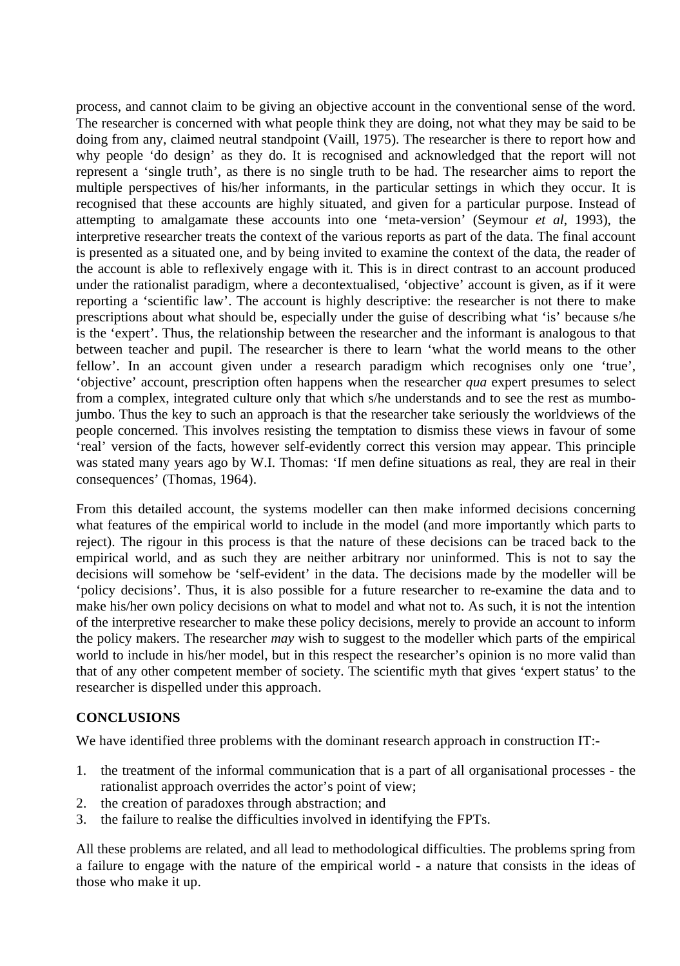process, and cannot claim to be giving an objective account in the conventional sense of the word. The researcher is concerned with what people think they are doing, not what they may be said to be doing from any, claimed neutral standpoint (Vaill, 1975). The researcher is there to report how and why people 'do design' as they do. It is recognised and acknowledged that the report will not represent a 'single truth', as there is no single truth to be had. The researcher aims to report the multiple perspectives of his/her informants, in the particular settings in which they occur. It is recognised that these accounts are highly situated, and given for a particular purpose. Instead of attempting to amalgamate these accounts into one 'meta-version' (Seymour *et al*, 1993), the interpretive researcher treats the context of the various reports as part of the data. The final account is presented as a situated one, and by being invited to examine the context of the data, the reader of the account is able to reflexively engage with it. This is in direct contrast to an account produced under the rationalist paradigm, where a decontextualised, 'objective' account is given, as if it were reporting a 'scientific law'. The account is highly descriptive: the researcher is not there to make prescriptions about what should be, especially under the guise of describing what 'is' because s/he is the 'expert'. Thus, the relationship between the researcher and the informant is analogous to that between teacher and pupil. The researcher is there to learn 'what the world means to the other fellow'. In an account given under a research paradigm which recognises only one 'true', 'objective' account, prescription often happens when the researcher *qua* expert presumes to select from a complex, integrated culture only that which s/he understands and to see the rest as mumbojumbo. Thus the key to such an approach is that the researcher take seriously the worldviews of the people concerned. This involves resisting the temptation to dismiss these views in favour of some 'real' version of the facts, however self-evidently correct this version may appear. This principle was stated many years ago by W.I. Thomas: 'If men define situations as real, they are real in their consequences' (Thomas, 1964).

From this detailed account, the systems modeller can then make informed decisions concerning what features of the empirical world to include in the model (and more importantly which parts to reject). The rigour in this process is that the nature of these decisions can be traced back to the empirical world, and as such they are neither arbitrary nor uninformed. This is not to say the decisions will somehow be 'self-evident' in the data. The decisions made by the modeller will be 'policy decisions'. Thus, it is also possible for a future researcher to re-examine the data and to make his/her own policy decisions on what to model and what not to. As such, it is not the intention of the interpretive researcher to make these policy decisions, merely to provide an account to inform the policy makers. The researcher *may* wish to suggest to the modeller which parts of the empirical world to include in his/her model, but in this respect the researcher's opinion is no more valid than that of any other competent member of society. The scientific myth that gives 'expert status' to the researcher is dispelled under this approach.

## **CONCLUSIONS**

We have identified three problems with the dominant research approach in construction IT:-

- 1. the treatment of the informal communication that is a part of all organisational processes the rationalist approach overrides the actor's point of view;
- 2. the creation of paradoxes through abstraction; and
- 3. the failure to realise the difficulties involved in identifying the FPTs.

All these problems are related, and all lead to methodological difficulties. The problems spring from a failure to engage with the nature of the empirical world - a nature that consists in the ideas of those who make it up.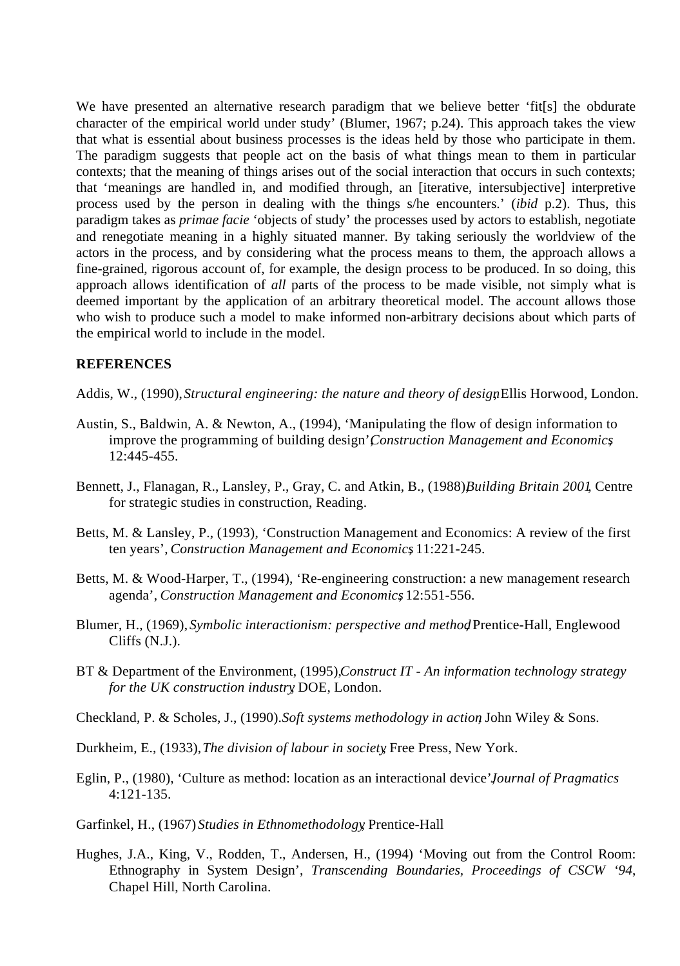We have presented an alternative research paradigm that we believe better 'fit[s] the obdurate character of the empirical world under study' (Blumer, 1967; p.24). This approach takes the view that what is essential about business processes is the ideas held by those who participate in them. The paradigm suggests that people act on the basis of what things mean to them in particular contexts; that the meaning of things arises out of the social interaction that occurs in such contexts; that 'meanings are handled in, and modified through, an [iterative, intersubjective] interpretive process used by the person in dealing with the things s/he encounters.' (*ibid* p.2). Thus, this paradigm takes as *primae facie* 'objects of study' the processes used by actors to establish, negotiate and renegotiate meaning in a highly situated manner. By taking seriously the worldview of the actors in the process, and by considering what the process means to them, the approach allows a fine-grained, rigorous account of, for example, the design process to be produced. In so doing, this approach allows identification of *all* parts of the process to be made visible, not simply what is deemed important by the application of an arbitrary theoretical model. The account allows those who wish to produce such a model to make informed non-arbitrary decisions about which parts of the empirical world to include in the model.

#### **REFERENCES**

Addis, W., (1990), *Structural engineering: the nature and theory of designellis Horwood*, London.

- Austin, S., Baldwin, A. & Newton, A., (1994), 'Manipulating the flow of design information to improve the programming of building design' Construction Management and Economics 12:445-455.
- Bennett, J., Flanagan, R., Lansley, P., Gray, C. and Atkin, B., (1988), *Building Britain 2001*, Centre for strategic studies in construction, Reading.
- Betts, M. & Lansley, P., (1993), 'Construction Management and Economics: A review of the first ten years', *Construction Management and Economics*, 11:221-245.
- Betts, M. & Wood-Harper, T., (1994), 'Re-engineering construction: a new management research agenda', *Construction Management and Economics*, 12:551-556.
- Blumer, H., (1969), *Symbolic interactionism: perspective and method* Prentice-Hall, Englewood Cliffs (N.J.).
- BT & Department of the Environment, (1995), *Construct IT An information technology strategy for the UK construction industry*, DOE, London.

Checkland, P. & Scholes, J., (1990). *Soft systems methodology in action*, John Wiley & Sons.

- Durkheim, E., (1933), *The division of labour in society*, Free Press, New York.
- Eglin, P., (1980), 'Culture as method: location as an interactional device', *Journal of Pragmatics* 4:121-135.
- Garfinkel, H., (1967) *Studies in Ethnomethodology*, Prentice-Hall
- Hughes, J.A., King, V., Rodden, T., Andersen, H., (1994) 'Moving out from the Control Room: Ethnography in System Design', *Transcending Boundaries, Proceedings of CSCW '94*, Chapel Hill, North Carolina.